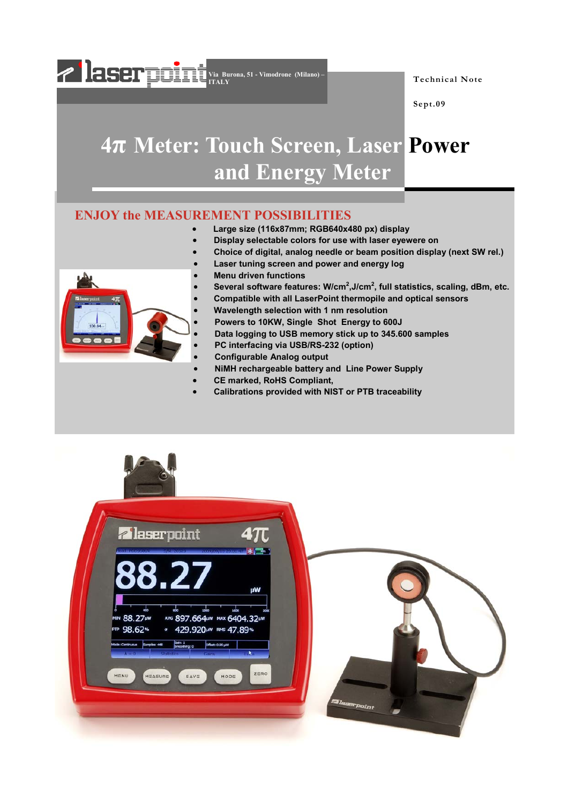

**Technical Note** 

**Sept.09** 

# **4π Meter: Touch Screen, Laser Power and Energy Meter**

#### **ENJOY the MEASUREMENT POSSIBILITIES**

- **Large size (116x87mm; RGB640x480 px) display**
- • **Display selectable colors for use with laser eyewere on**
- **Choice of digital, analog needle or beam position display (next SW rel.)**
- **Laser tuning screen and power and energy log**
- **Menu driven functions**
- Several software features: W/cm<sup>2</sup>, J/cm<sup>2</sup>, full statistics, scaling, dBm, etc.
	- **Compatible with all LaserPoint thermopile and optical sensors**
	- **Wavelength selection with 1 nm resolution**
	- **Powers to 10KW, Single Shot Energy to 600J**
	- **Data logging to USB memory stick up to 345.600 samples**
	- **PC interfacing via USB/RS-232 (option)**
	- **Configurable Analog output**
- **NiMH rechargeable battery and Line Power Supply**
- **CE marked, RoHS Compliant,**
- **Calibrations provided with NIST or PTB traceability**



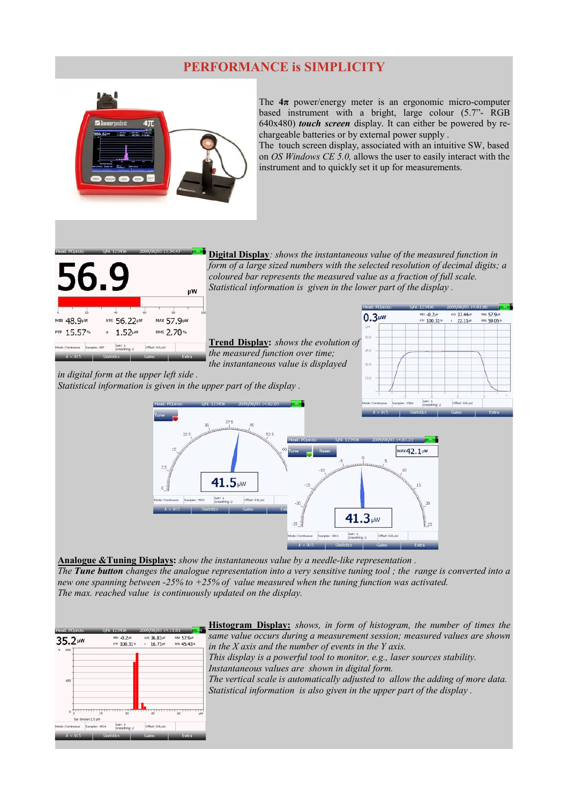### **PERFORMANCE is SIMPLICITY**



The  $4\pi$  power/energy meter is an ergonomic micro-computer based instrument with a bright, large colour (5.7"- RGB 640x480) *touch screen* display. It can either be powered by rechargeable batteries or by external power supply .

The touch screen display, associated with an intuitive SW, based on *OS Windows CE 5.0,* allows the user to easily interact with the instrument and to quickly set it up for measurements.

ax 57.9

nes 59.05\*

AVG 37.44

÷  $22.11$ 

 $-0.24$ 

PTP 100.31%



**Digital Display***: shows the instantaneous value of the measured function in form of a large sized numbers with the selected resolution of decimal digits; a coloured bar represents the measured value as a fraction of full scale. Statistical information is given in the lower part of the display .* 

 $0.3<sub>µW</sub>$ 

**Trend Display:** *shows the evolution of the measured function over time; the instantaneous value is displayed* 

*in digital form at the upper left side . Statistical information is given in the upper part of the display .* 



**Analogue &Tuning Displays:** *show the instantaneous value by a needle-like representation . The Tune button changes the analogue representation into a very sensitive tuning tool ; the range is converted into a new one spanning between -25% to +25% of value measured when the tuning function was activated. The max. reached value is continuously updated on the display.* 



**Histogram Display:** *shows, in form of histogram, the number of times the same value occurs during a measurement session; measured values are shown in the X axis and the number of events in the Y axis. This display is a powerful tool to monitor, e.g., laser sources stability. Instantaneous values are shown in digital form. The vertical scale is automatically adjusted to allow the adding of more data. Statistical information is also given in the upper part of the display .*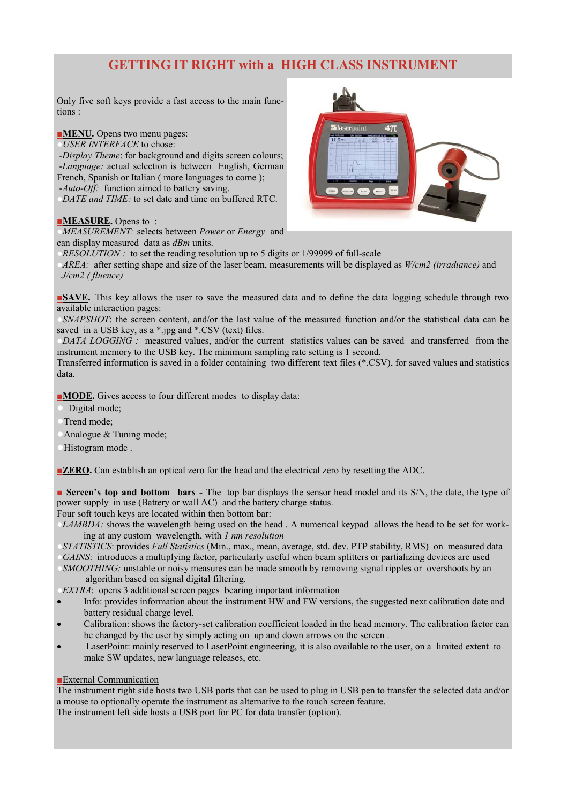## **GETTING IT RIGHT with a HIGH CLASS INSTRUMENT**

Only five soft keys provide a fast access to the main functions :

**■MENU.** Opens two menu pages:

●*USER INTERFACE* to chose:

 -*Display Theme*: for background and digits screen colours; -*Language:* actual selection is between English, German French, Spanish or Italian ( more languages to come ); -*Auto-Off:* function aimed to battery saving.

*DATE and TIME:* to set date and time on buffered RTC.

#### **■MEASURE.** Opens to :

*MEASUREMENT:* selects between *Power* or *Energy* and can display measured data as *dBm* units.

*RESOLUTION*: to set the reading resolution up to 5 digits or 1/99999 of full-scale

●*AREA:* after setting shape and size of the laser beam, measurements will be displayed as *W/cm2 (irradiance)* and *J/cm2 ( fluence)* 

**■<b>SAVE.** This key allows the user to save the measured data and to define the data logging schedule through two available interaction pages:

*SNAPSHOT*: the screen content, and/or the last value of the measured function and/or the statistical data can be saved in a USB key, as a \*.jpg and \*.CSV (text) files.

*DATA LOGGING*: measured values, and/or the current statistics values can be saved and transferred from the instrument memory to the USB key. The minimum sampling rate setting is 1 second.

Transferred information is saved in a folder containing two different text files (\*.CSV), for saved values and statistics data.

■**MODE.** Gives access to four different modes to display data:

Digital mode;

Trend mode;

Analogue & Tuning mode;

Histogram mode.

**■<b>ZERO.** Can establish an optical zero for the head and the electrical zero by resetting the ADC.

**■ Screen's top and bottom bars - The top bar displays the sensor head model and its S/N, the date, the type of** power supply in use (Battery or wall AC) and the battery charge status.

Four soft touch keys are located within then bottom bar:

*LAMBDA*: shows the wavelength being used on the head . A numerical keypad allows the head to be set for working at any custom wavelength, with *1 nm resolution*

●*STATISTICS*: provides *Full Statistics* (Min., max., mean, average, std. dev. PTP stability, RMS) on measured data *GAINS*: introduces a multiplying factor, particularly useful when beam splitters or partializing devices are used

*SMOOTHING:* unstable or noisy measures can be made smooth by removing signal ripples or overshoots by an algorithm based on signal digital filtering.

*EXTRA*: opens 3 additional screen pages bearing important information

- Info: provides information about the instrument HW and FW versions, the suggested next calibration date and battery residual charge level.
- Calibration: shows the factory-set calibration coefficient loaded in the head memory. The calibration factor can be changed by the user by simply acting on up and down arrows on the screen .
- LaserPoint: mainly reserved to LaserPoint engineering, it is also available to the user, on a limited extent to make SW updates, new language releases, etc.

#### **■**External Communication

The instrument right side hosts two USB ports that can be used to plug in USB pen to transfer the selected data and/or a mouse to optionally operate the instrument as alternative to the touch screen feature.

The instrument left side hosts a USB port for PC for data transfer (option).